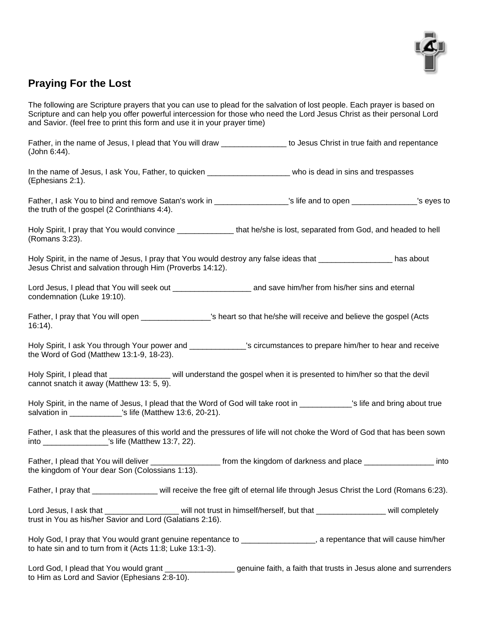

## **Praying For the Lost**

The following are Scripture prayers that you can use to plead for the salvation of lost people. Each prayer is based on Scripture and can help you offer powerful intercession for those who need the Lord Jesus Christ as their personal Lord and Savior. (feel free to print this form and use it in your prayer time)

Father, in the name of Jesus, I plead that You will draw The Music of Jesus Christ in true faith and repentance (John 6:44).

In the name of Jesus, I ask You, Father, to quicken **Example 20** who is dead in sins and trespasses (Ephesians 2:1).

Father, I ask You to bind and remove Satan's work in \_\_\_\_\_\_\_\_\_\_\_\_\_\_\_\_\_'s life and to open \_\_\_\_\_\_\_\_\_\_\_\_\_\_\_'s eyes to the truth of the gospel (2 Corinthians 4:4).

Holy Spirit, I pray that You would convince that he/she is lost, separated from God, and headed to hell (Romans 3:23).

Holy Spirit, in the name of Jesus, I pray that You would destroy any false ideas that \_\_\_\_\_\_\_\_\_\_\_\_\_\_\_\_\_ has about Jesus Christ and salvation through Him (Proverbs 14:12).

Lord Jesus, I plead that You will seek out \_\_\_\_\_\_\_\_\_\_\_\_\_\_\_\_\_\_\_\_\_\_\_\_\_ and save him/her from his/her sins and eternal condemnation (Luke 19:10).

Father, I pray that You will open \_\_\_\_\_\_\_\_\_\_\_\_\_\_\_\_\_\_'s heart so that he/she will receive and believe the gospel (Acts 16:14).

Holy Spirit, I ask You through Your power and **Example 3** Scircumstances to prepare him/her to hear and receive the Word of God (Matthew 13:1-9, 18-23).

Holy Spirit, I plead that \_\_\_\_\_\_\_\_\_\_\_\_\_\_ will understand the gospel when it is presented to him/her so that the devil cannot snatch it away (Matthew 13: 5, 9).

Holy Spirit, in the name of Jesus, I plead that the Word of God will take root in \_\_\_\_\_\_\_\_\_\_\_\_'s life and bring about true salvation in \_\_\_\_\_\_\_\_\_\_\_\_\_\_\_'s life (Matthew 13:6, 20-21).

Father, I ask that the pleasures of this world and the pressures of life will not choke the Word of God that has been sown into \_\_\_\_\_\_\_\_\_\_\_\_\_\_\_'s life (Matthew 13:7, 22).

Father, I plead that You will deliver \_\_\_\_\_\_\_\_\_\_\_\_\_\_\_\_\_\_\_ from the kingdom of darkness and place \_\_\_\_\_\_\_\_\_\_\_\_\_\_\_\_\_\_ into the kingdom of Your dear Son (Colossians 1:13).

Father, I pray that \_\_\_\_\_\_\_\_\_\_\_\_\_\_\_ will receive the free gift of eternal life through Jesus Christ the Lord (Romans 6:23).

Lord Jesus, I ask that \_\_\_\_\_\_\_\_\_\_\_\_\_\_\_\_\_\_\_\_ will not trust in himself/herself, but that \_\_\_\_\_\_\_\_\_\_ will completely trust in You as his/her Savior and Lord (Galatians 2:16).

Holy God, I pray that You would grant genuine repentance to \_\_\_\_\_\_\_\_\_\_\_\_\_\_\_\_\_, a repentance that will cause him/her to hate sin and to turn from it (Acts 11:8; Luke 13:1-3).

Lord God, I plead that You would grant \_\_\_\_\_\_\_\_\_\_\_\_\_\_\_\_\_\_\_ genuine faith, a faith that trusts in Jesus alone and surrenders to Him as Lord and Savior (Ephesians 2:8-10).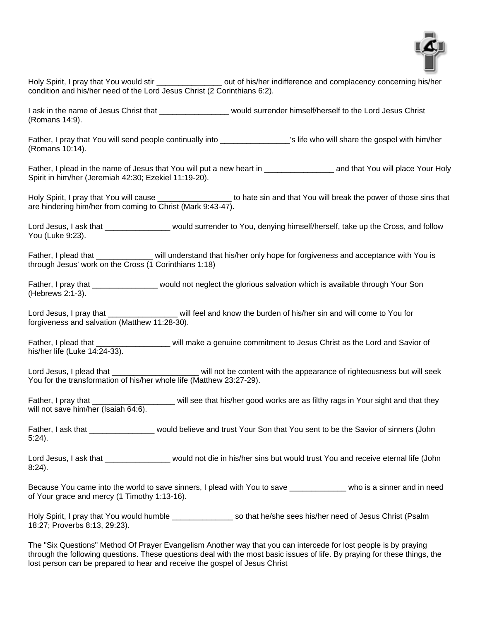

Holy Spirit, I pray that You would stir **the summan vertex out of his/her indifference and complacency concerning his/her** condition and his/her need of the Lord Jesus Christ (2 Corinthians 6:2).

I ask in the name of Jesus Christ that The Testing would surrender himself/herself to the Lord Jesus Christ (Romans 14:9).

Father, I pray that You will send people continually into entity and the who will share the gospel with him/her (Romans 10:14).

Father, I plead in the name of Jesus that You will put a new heart in Theorus and that You will place Your Holy Spirit in him/her (Jeremiah 42:30; Ezekiel 11:19-20).

Holy Spirit, I pray that You will cause \_\_\_\_\_\_\_\_\_\_\_\_\_\_\_\_\_\_\_\_ to hate sin and that You will break the power of those sins that are hindering him/her from coming to Christ (Mark 9:43-47).

Lord Jesus, I ask that \_\_\_\_\_\_\_\_\_\_\_\_\_\_\_\_ would surrender to You, denying himself/herself, take up the Cross, and follow You (Luke 9:23).

Father, I plead that That is a will understand that his/her only hope for forgiveness and acceptance with You is through Jesus' work on the Cross (1 Corinthians 1:18)

Father, I pray that \_\_\_\_\_\_\_\_\_\_\_\_\_\_\_\_ would not neglect the glorious salvation which is available through Your Son (Hebrews 2:1-3).

Lord Jesus, I pray that The Lord Steven will feel and know the burden of his/her sin and will come to You for forgiveness and salvation (Matthew 11:28-30).

Father, I plead that \_\_\_\_\_\_\_\_\_\_\_\_\_\_\_\_\_\_\_\_\_ will make a genuine commitment to Jesus Christ as the Lord and Savior of his/her life (Luke 14:24-33).

Lord Jesus, I plead that the state of righteousness but will seek You for the transformation of his/her whole life (Matthew 23:27-29).

Father, I pray that **Example 20** will see that his/her good works are as filthy rags in Your sight and that they will not save him/her (Isaiah 64:6).

Father, I ask that **Example 20** would believe and trust Your Son that You sent to be the Savior of sinners (John 5:24).

Lord Jesus, I ask that **the state of the Would not die in his/her sins but would trust You and receive eternal life (John** 8:24).

Because You came into the world to save sinners, I plead with You to save \_\_\_\_\_\_\_\_\_\_\_\_\_ who is a sinner and in need of Your grace and mercy (1 Timothy 1:13-16).

Holy Spirit, I pray that You would humble example so that he/she sees his/her need of Jesus Christ (Psalm 18:27; Proverbs 8:13, 29:23).

The "Six Questions" Method Of Prayer Evangelism Another way that you can intercede for lost people is by praying through the following questions. These questions deal with the most basic issues of life. By praying for these things, the lost person can be prepared to hear and receive the gospel of Jesus Christ